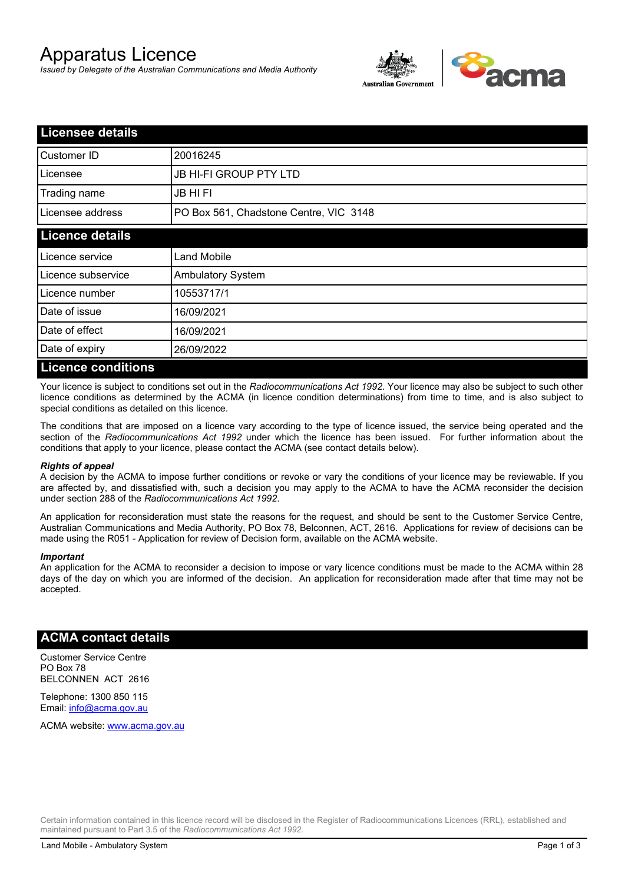# Apparatus Licence

*Issued by Delegate of the Australian Communications and Media Authority*



| <b>Licensee details</b>   |                                        |  |
|---------------------------|----------------------------------------|--|
| Customer ID               | 20016245                               |  |
| Licensee                  | JB HI-FI GROUP PTY LTD                 |  |
| Trading name              | JB HI FI                               |  |
| Licensee address          | PO Box 561, Chadstone Centre, VIC 3148 |  |
| <b>Licence details</b>    |                                        |  |
| Licence service           | <b>Land Mobile</b>                     |  |
| Licence subservice        | <b>Ambulatory System</b>               |  |
| Licence number            | 10553717/1                             |  |
| Date of issue             | 16/09/2021                             |  |
| Date of effect            | 16/09/2021                             |  |
| Date of expiry            | 26/09/2022                             |  |
| <b>Licence conditions</b> |                                        |  |

Your licence is subject to conditions set out in the *Radiocommunications Act 1992*. Your licence may also be subject to such other licence conditions as determined by the ACMA (in licence condition determinations) from time to time, and is also subject to special conditions as detailed on this licence.

The conditions that are imposed on a licence vary according to the type of licence issued, the service being operated and the section of the *Radiocommunications Act 1992* under which the licence has been issued. For further information about the conditions that apply to your licence, please contact the ACMA (see contact details below).

#### *Rights of appeal*

A decision by the ACMA to impose further conditions or revoke or vary the conditions of your licence may be reviewable. If you are affected by, and dissatisfied with, such a decision you may apply to the ACMA to have the ACMA reconsider the decision under section 288 of the *Radiocommunications Act 1992*.

An application for reconsideration must state the reasons for the request, and should be sent to the Customer Service Centre, Australian Communications and Media Authority, PO Box 78, Belconnen, ACT, 2616. Applications for review of decisions can be made using the R051 - Application for review of Decision form, available on the ACMA website.

#### *Important*

An application for the ACMA to reconsider a decision to impose or vary licence conditions must be made to the ACMA within 28 days of the day on which you are informed of the decision. An application for reconsideration made after that time may not be accepted.

### **ACMA contact details**

Customer Service Centre PO Box 78 BELCONNEN ACT 2616

Telephone: 1300 850 115 Email: info@acma.gov.au

ACMA website: www.acma.gov.au

Certain information contained in this licence record will be disclosed in the Register of Radiocommunications Licences (RRL), established and maintained pursuant to Part 3.5 of the *Radiocommunications Act 1992.*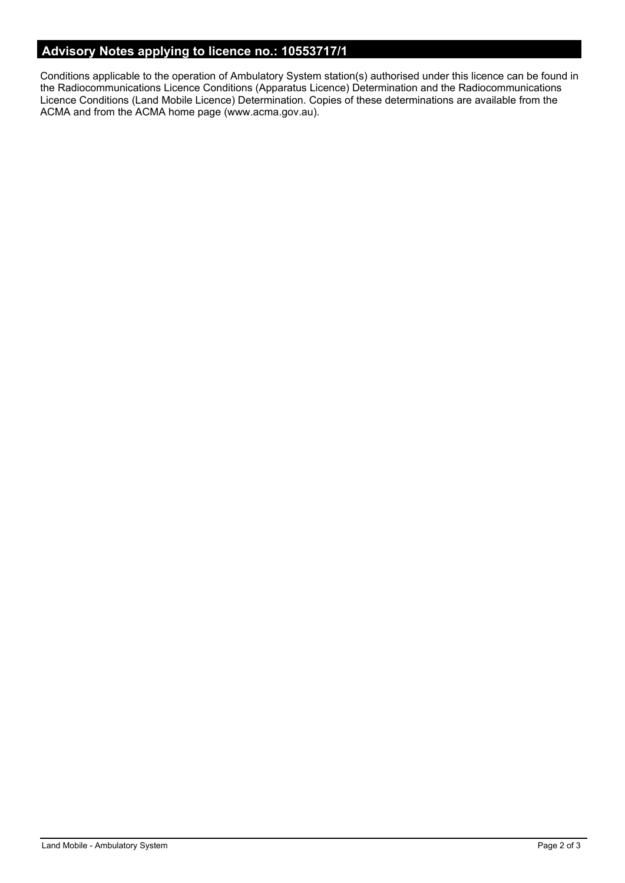# **Advisory Notes applying to licence no.: 10553717/1**

Conditions applicable to the operation of Ambulatory System station(s) authorised under this licence can be found in the Radiocommunications Licence Conditions (Apparatus Licence) Determination and the Radiocommunications Licence Conditions (Land Mobile Licence) Determination. Copies of these determinations are available from the ACMA and from the ACMA home page (www.acma.gov.au).